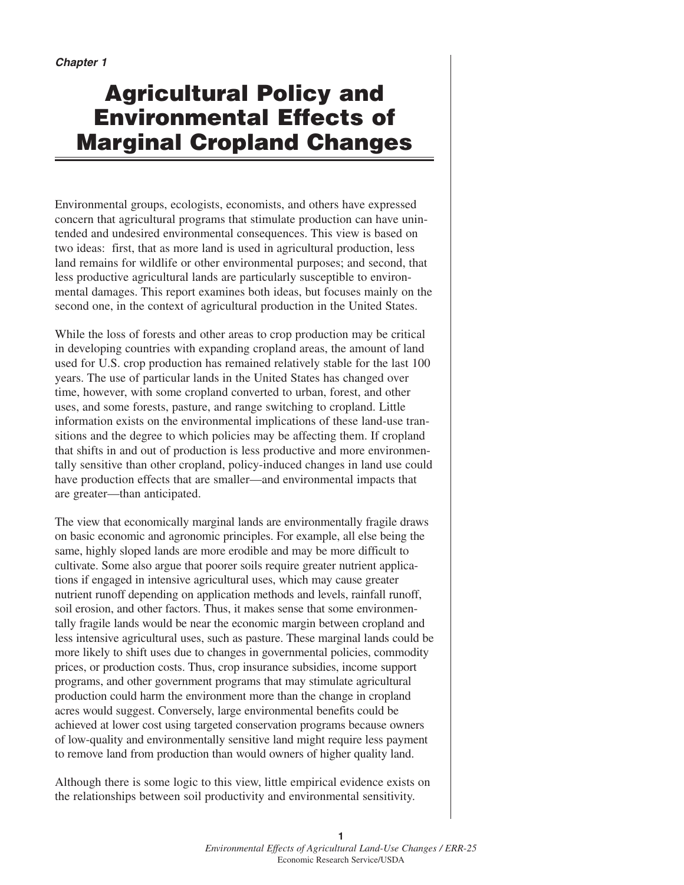# **Agricultural Policy and Environmental Effects of Marginal Cropland Changes**

Environmental groups, ecologists, economists, and others have expressed concern that agricultural programs that stimulate production can have unintended and undesired environmental consequences. This view is based on two ideas: first, that as more land is used in agricultural production, less land remains for wildlife or other environmental purposes; and second, that less productive agricultural lands are particularly susceptible to environmental damages. This report examines both ideas, but focuses mainly on the second one, in the context of agricultural production in the United States.

While the loss of forests and other areas to crop production may be critical in developing countries with expanding cropland areas, the amount of land used for U.S. crop production has remained relatively stable for the last 100 years. The use of particular lands in the United States has changed over time, however, with some cropland converted to urban, forest, and other uses, and some forests, pasture, and range switching to cropland. Little information exists on the environmental implications of these land-use transitions and the degree to which policies may be affecting them. If cropland that shifts in and out of production is less productive and more environmentally sensitive than other cropland, policy-induced changes in land use could have production effects that are smaller—and environmental impacts that are greater—than anticipated.

The view that economically marginal lands are environmentally fragile draws on basic economic and agronomic principles. For example, all else being the same, highly sloped lands are more erodible and may be more difficult to cultivate. Some also argue that poorer soils require greater nutrient applications if engaged in intensive agricultural uses, which may cause greater nutrient runoff depending on application methods and levels, rainfall runoff, soil erosion, and other factors. Thus, it makes sense that some environmentally fragile lands would be near the economic margin between cropland and less intensive agricultural uses, such as pasture. These marginal lands could be more likely to shift uses due to changes in governmental policies, commodity prices, or production costs. Thus, crop insurance subsidies, income support programs, and other government programs that may stimulate agricultural production could harm the environment more than the change in cropland acres would suggest. Conversely, large environmental benefits could be achieved at lower cost using targeted conservation programs because owners of low-quality and environmentally sensitive land might require less payment to remove land from production than would owners of higher quality land.

Although there is some logic to this view, little empirical evidence exists on the relationships between soil productivity and environmental sensitivity.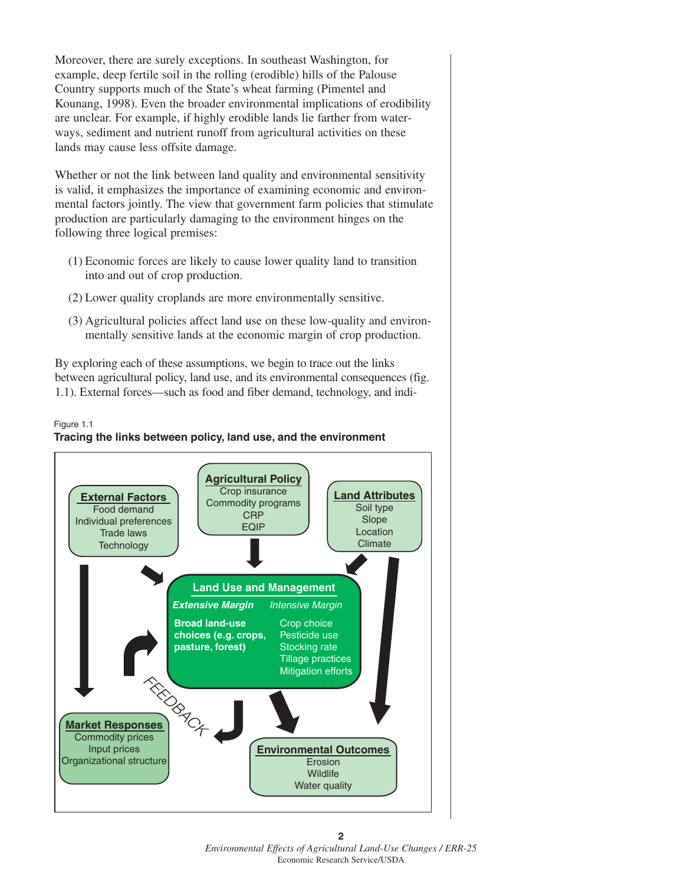Moreover, there are surely exceptions. In southeast Washington, for example, deep fertile soil in the rolling (erodible) hills of the Palouse Country supports much of the State's wheat farming (Pimentel and Kounang, 1998). Even the broader environmental implications of erodibility are unclear. For example, if highly erodible lands lie farther from waterways, sediment and nutrient runoff from agricultural activities on these lands may cause less offsite damage.

Whether or not the link between land quality and environmental sensitivity is valid, it emphasizes the importance of examining economic and environmental factors jointly. The view that government farm policies that stimulate production are particularly damaging to the environment hinges on the following three logical premises:

- (1) Economic forces are likely to cause lower quality land to transition into and out of crop production.
- (2) Lower quality croplands are more environmentally sensitive.
- (3) Agricultural policies affect land use on these low-quality and environmentally sensitive lands at the economic margin of crop production.

By exploring each of these assumptions, we begin to trace out the links between agricultural policy, land use, and its environmental consequences (fig. 1.1). External forces—such as food and fiber demand, technology, and indi-

#### **Tracing the links between policy, land use, and the environment** Figure 1.1

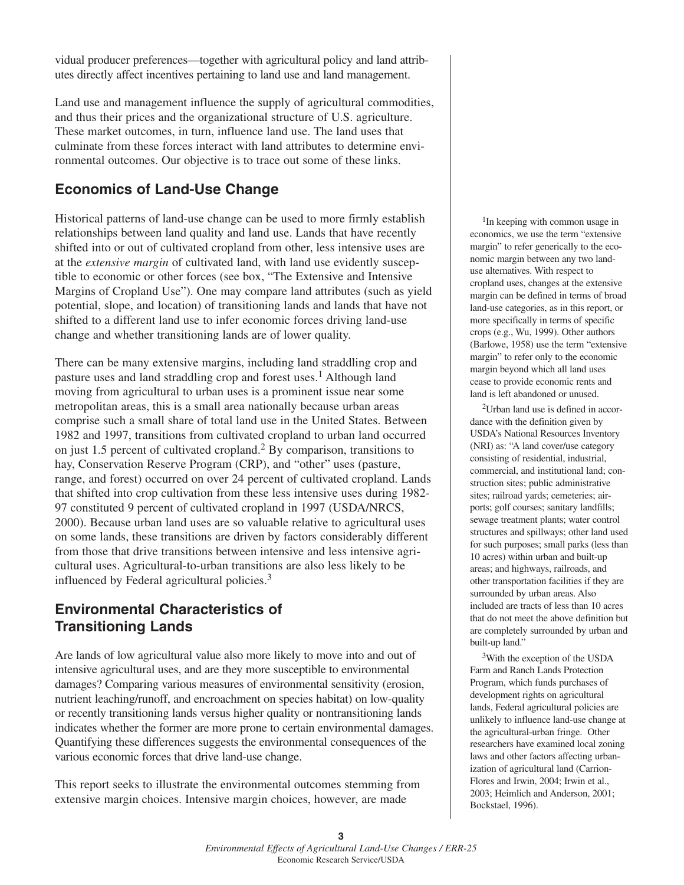vidual producer preferences—together with agricultural policy and land attributes directly affect incentives pertaining to land use and land management.

Land use and management influence the supply of agricultural commodities, and thus their prices and the organizational structure of U.S. agriculture. These market outcomes, in turn, influence land use. The land uses that culminate from these forces interact with land attributes to determine environmental outcomes. Our objective is to trace out some of these links.

## **Economics of Land-Use Change**

Historical patterns of land-use change can be used to more firmly establish relationships between land quality and land use. Lands that have recently shifted into or out of cultivated cropland from other, less intensive uses are at the *extensive margin* of cultivated land, with land use evidently susceptible to economic or other forces (see box, "The Extensive and Intensive Margins of Cropland Use"). One may compare land attributes (such as yield potential, slope, and location) of transitioning lands and lands that have not shifted to a different land use to infer economic forces driving land-use change and whether transitioning lands are of lower quality.

There can be many extensive margins, including land straddling crop and pasture uses and land straddling crop and forest uses.<sup>1</sup> Although land moving from agricultural to urban uses is a prominent issue near some metropolitan areas, this is a small area nationally because urban areas comprise such a small share of total land use in the United States. Between 1982 and 1997, transitions from cultivated cropland to urban land occurred on just 1.5 percent of cultivated cropland.<sup>2</sup> By comparison, transitions to hay, Conservation Reserve Program (CRP), and "other" uses (pasture, range, and forest) occurred on over 24 percent of cultivated cropland. Lands that shifted into crop cultivation from these less intensive uses during 1982- 97 constituted 9 percent of cultivated cropland in 1997 (USDA/NRCS, 2000). Because urban land uses are so valuable relative to agricultural uses on some lands, these transitions are driven by factors considerably different from those that drive transitions between intensive and less intensive agricultural uses. Agricultural-to-urban transitions are also less likely to be influenced by Federal agricultural policies.<sup>3</sup>

### **Environmental Characteristics of Transitioning Lands**

Are lands of low agricultural value also more likely to move into and out of intensive agricultural uses, and are they more susceptible to environmental damages? Comparing various measures of environmental sensitivity (erosion, nutrient leaching/runoff, and encroachment on species habitat) on low-quality or recently transitioning lands versus higher quality or nontransitioning lands indicates whether the former are more prone to certain environmental damages. Quantifying these differences suggests the environmental consequences of the various economic forces that drive land-use change.

This report seeks to illustrate the environmental outcomes stemming from extensive margin choices. Intensive margin choices, however, are made

<sup>1</sup>In keeping with common usage in economics, we use the term "extensive margin" to refer generically to the economic margin between any two landuse alternatives. With respect to cropland uses, changes at the extensive margin can be defined in terms of broad land-use categories, as in this report, or more specifically in terms of specific crops (e.g., Wu, 1999). Other authors (Barlowe, 1958) use the term "extensive margin" to refer only to the economic margin beyond which all land uses cease to provide economic rents and land is left abandoned or unused.

2Urban land use is defined in accordance with the definition given by USDA's National Resources Inventory (NRI) as: "A land cover/use category consisting of residential, industrial, commercial, and institutional land; construction sites; public administrative sites; railroad yards; cemeteries; airports; golf courses; sanitary landfills; sewage treatment plants; water control structures and spillways; other land used for such purposes; small parks (less than 10 acres) within urban and built-up areas; and highways, railroads, and other transportation facilities if they are surrounded by urban areas. Also included are tracts of less than 10 acres that do not meet the above definition but are completely surrounded by urban and built-up land."

3With the exception of the USDA Farm and Ranch Lands Protection Program, which funds purchases of development rights on agricultural lands, Federal agricultural policies are unlikely to influence land-use change at the agricultural-urban fringe. Other researchers have examined local zoning laws and other factors affecting urbanization of agricultural land (Carrion-Flores and Irwin, 2004; Irwin et al., 2003; Heimlich and Anderson, 2001; Bockstael, 1996).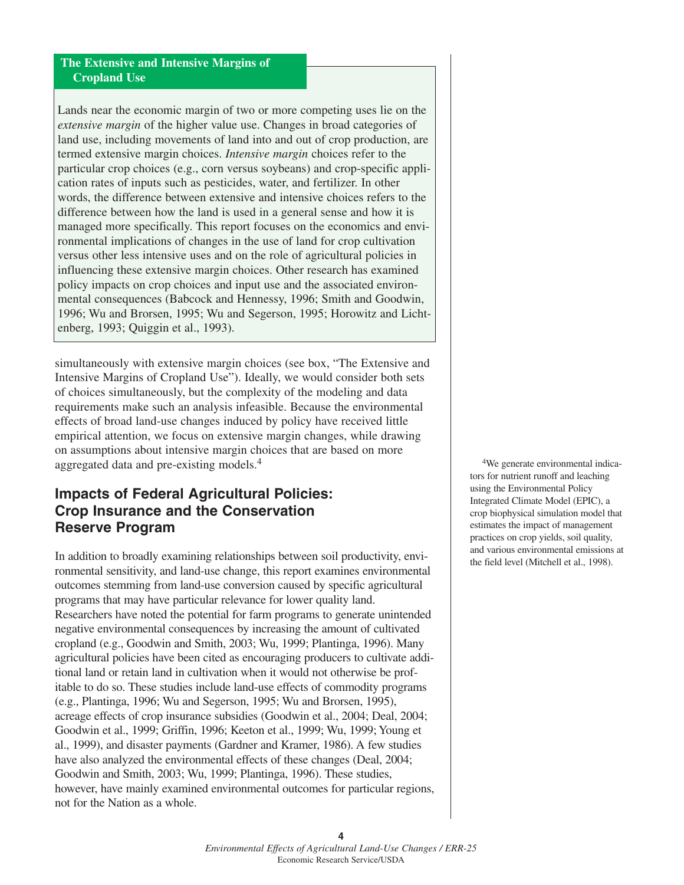#### **The Extensive and Intensive Margins of Cropland Use**

Lands near the economic margin of two or more competing uses lie on the *extensive margin* of the higher value use. Changes in broad categories of land use, including movements of land into and out of crop production, are termed extensive margin choices. *Intensive margin* choices refer to the particular crop choices (e.g., corn versus soybeans) and crop-specific application rates of inputs such as pesticides, water, and fertilizer. In other words, the difference between extensive and intensive choices refers to the difference between how the land is used in a general sense and how it is managed more specifically. This report focuses on the economics and environmental implications of changes in the use of land for crop cultivation versus other less intensive uses and on the role of agricultural policies in influencing these extensive margin choices. Other research has examined policy impacts on crop choices and input use and the associated environmental consequences (Babcock and Hennessy, 1996; Smith and Goodwin, 1996; Wu and Brorsen, 1995; Wu and Segerson, 1995; Horowitz and Lichtenberg, 1993; Quiggin et al., 1993).

simultaneously with extensive margin choices (see box, "The Extensive and Intensive Margins of Cropland Use"). Ideally, we would consider both sets of choices simultaneously, but the complexity of the modeling and data requirements make such an analysis infeasible. Because the environmental effects of broad land-use changes induced by policy have received little empirical attention, we focus on extensive margin changes, while drawing on assumptions about intensive margin choices that are based on more aggregated data and pre-existing models.<sup>4</sup>

### **Impacts of Federal Agricultural Policies: Crop Insurance and the Conservation Reserve Program**

In addition to broadly examining relationships between soil productivity, environmental sensitivity, and land-use change, this report examines environmental outcomes stemming from land-use conversion caused by specific agricultural programs that may have particular relevance for lower quality land. Researchers have noted the potential for farm programs to generate unintended negative environmental consequences by increasing the amount of cultivated cropland (e.g., Goodwin and Smith, 2003; Wu, 1999; Plantinga, 1996). Many agricultural policies have been cited as encouraging producers to cultivate additional land or retain land in cultivation when it would not otherwise be profitable to do so. These studies include land-use effects of commodity programs (e.g., Plantinga, 1996; Wu and Segerson, 1995; Wu and Brorsen, 1995), acreage effects of crop insurance subsidies (Goodwin et al., 2004; Deal, 2004; Goodwin et al., 1999; Griffin, 1996; Keeton et al., 1999; Wu, 1999; Young et al., 1999), and disaster payments (Gardner and Kramer, 1986). A few studies have also analyzed the environmental effects of these changes (Deal, 2004; Goodwin and Smith, 2003; Wu, 1999; Plantinga, 1996). These studies, however, have mainly examined environmental outcomes for particular regions, not for the Nation as a whole.

4We generate environmental indicators for nutrient runoff and leaching using the Environmental Policy Integrated Climate Model (EPIC), a crop biophysical simulation model that estimates the impact of management practices on crop yields, soil quality, and various environmental emissions at the field level (Mitchell et al., 1998).